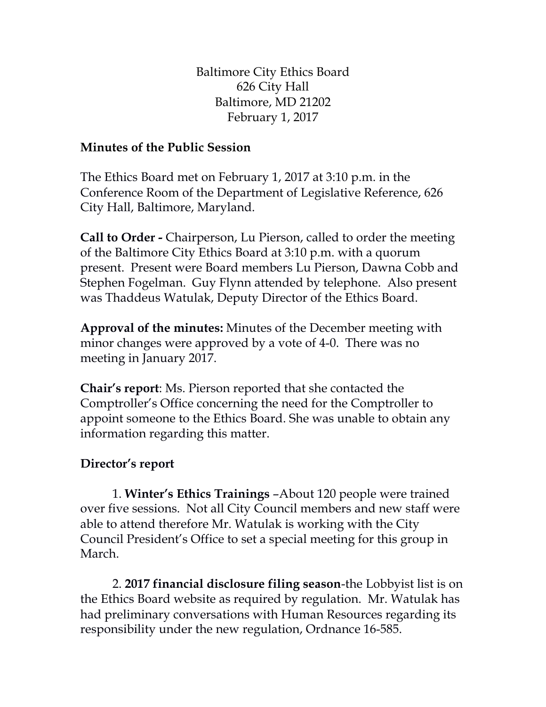Baltimore City Ethics Board 626 City Hall Baltimore, MD 21202 February 1, 2017

## **Minutes of the Public Session**

The Ethics Board met on February 1, 2017 at 3:10 p.m. in the Conference Room of the Department of Legislative Reference, 626 City Hall, Baltimore, Maryland.

**Call to Order -** Chairperson, Lu Pierson, called to order the meeting of the Baltimore City Ethics Board at 3:10 p.m. with a quorum present. Present were Board members Lu Pierson, Dawna Cobb and Stephen Fogelman. Guy Flynn attended by telephone. Also present was Thaddeus Watulak, Deputy Director of the Ethics Board.

**Approval of the minutes:** Minutes of the December meeting with minor changes were approved by a vote of 4-0. There was no meeting in January 2017.

**Chair's report**: Ms. Pierson reported that she contacted the Comptroller's Office concerning the need for the Comptroller to appoint someone to the Ethics Board. She was unable to obtain any information regarding this matter.

## **Director's report**

1. **Winter's Ethics Trainings** –About 120 people were trained over five sessions. Not all City Council members and new staff were able to attend therefore Mr. Watulak is working with the City Council President's Office to set a special meeting for this group in March.

2. **2017 financial disclosure filing season**-the Lobbyist list is on the Ethics Board website as required by regulation. Mr. Watulak has had preliminary conversations with Human Resources regarding its responsibility under the new regulation, Ordnance 16-585.